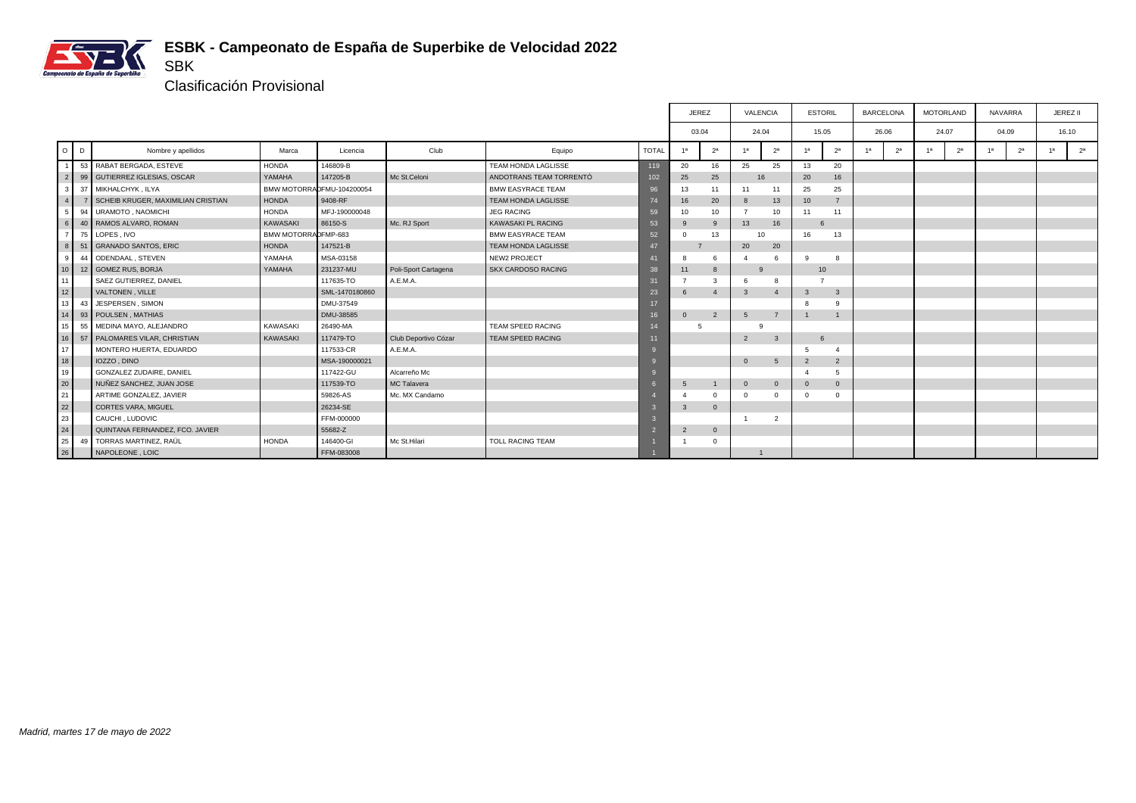

Clasificación Provisional

SBK

|                 |    |                                    |                     |                           |                      |                            |              |                | <b>JEREZ</b>        |               | VALENCIA       | <b>ESTORIL</b>   |                         | <b>BARCELONA</b> |                |    | <b>MOTORLAND</b> |                | <b>NAVARRA</b> |    | JEREZ II       |
|-----------------|----|------------------------------------|---------------------|---------------------------|----------------------|----------------------------|--------------|----------------|---------------------|---------------|----------------|------------------|-------------------------|------------------|----------------|----|------------------|----------------|----------------|----|----------------|
|                 |    |                                    |                     |                           |                      |                            |              |                | 03.04               |               | 24.04          | 15.05            |                         | 26.06            |                |    | 24.07            |                | 04.09          |    | 16.10          |
| $O$ $D$         |    | Nombre y apellidos                 | Marca               | Licencia                  | Club                 | Equipo                     | <b>TOTAL</b> | 1a             | 2 <sup>a</sup>      | 4a            | 2 <sup>a</sup> | 1 <sup>a</sup>   | 2 <sup>a</sup>          | 1 <sup>a</sup>   | 2 <sup>a</sup> | 1a | 2 <sup>a</sup>   | 1 <sup>a</sup> | 2 <sup>a</sup> | 4a | 2 <sup>a</sup> |
|                 |    | 53 RABAT BERGADA, ESTEVE           | <b>HONDA</b>        | 146809-B                  |                      | TEAM HONDA LAGLISSE        | 119          | 20             | 16                  | 25            | 25             | 13               | 20                      |                  |                |    |                  |                |                |    |                |
| 2               |    | 99 GUTIERREZ IGLESIAS, OSCAR       | YAMAHA              | 147205-B                  | Mc St.Celoni         | ANDOTRANS TEAM TORRENTÓ    | 102          | 25             | 25                  |               | 16             | 20               | 16                      |                  |                |    |                  |                |                |    |                |
|                 | 37 | MIKHALCHYK, ILYA                   |                     | BMW MOTORRADFMU-104200054 |                      | <b>BMW EASYRACE TEAM</b>   | 96           | 13             | 11                  | 11            | 11             | 25               | 25                      |                  |                |    |                  |                |                |    |                |
| 4 <sup>1</sup>  |    | SCHEIB KRUGER, MAXIMILIAN CRISTIAN | <b>HONDA</b>        | 9408-RF                   |                      | <b>TEAM HONDA LAGLISSE</b> | 74           | 16             | 20                  | 8             | 13             | 10 <sup>10</sup> | $\overline{7}$          |                  |                |    |                  |                |                |    |                |
|                 | 94 | URAMOTO, NAOMICHI                  | <b>HONDA</b>        | MFJ-190000048             |                      | <b>JEG RACING</b>          | 59           | 10             | 10                  | -7            | 10             | 11               | 11                      |                  |                |    |                  |                |                |    |                |
| 6 <sup>1</sup>  | 40 | RAMOS ALVARO, ROMAN                | KAWASAKI            | 86150-S                   | Mc. RJ Sport         | KAWASAKI PL RACING         | 53           | 9              | 9                   | 13            | 16             | 6                |                         |                  |                |    |                  |                |                |    |                |
| $\overline{7}$  | 75 | LOPES, IVO                         | BMW MOTORRADFMP-683 |                           |                      | <b>BMW EASYRACE TEAM</b>   | 52           | $\Omega$       | 13                  |               | 10             | 16               | 13                      |                  |                |    |                  |                |                |    |                |
| 8               | 51 | <b>GRANADO SANTOS, ERIC</b>        | <b>HONDA</b>        | 147521-B                  |                      | TEAM HONDA LAGLISSE        | 47           |                |                     | 20            | 20             |                  |                         |                  |                |    |                  |                |                |    |                |
| -9              | 44 | ODENDAAL, STEVEN                   | YAMAHA              | MSA-03158                 |                      | NEW2 PROJECT               | 41           | 8              | 6                   |               |                | q                | 8                       |                  |                |    |                  |                |                |    |                |
| 10 <sup>1</sup> |    | 12 GOMEZ RUS, BORJA                | YAMAHA              | 231237-MU                 | Poli-Sport Cartagena | <b>SKX CARDOSO RACING</b>  | 38           | 11             | 8                   | 9             |                | 10               |                         |                  |                |    |                  |                |                |    |                |
| 11              |    | SAEZ GUTIERREZ, DANIEL             |                     | 117635-TO                 | A.E.M.A.             |                            | 31           | $\overline{7}$ | 3                   |               | 8              |                  |                         |                  |                |    |                  |                |                |    |                |
| 12              |    | VALTONEN, VILLE                    |                     | SML-1470180860            |                      |                            | 23           | 6              | $\overline{4}$      | 3             | $\overline{4}$ | 3                | $\overline{\mathbf{3}}$ |                  |                |    |                  |                |                |    |                |
| 13              | 43 | JESPERSEN, SIMON                   |                     | DMU-37549                 |                      |                            | 17           |                |                     |               |                |                  | $\mathbf{Q}$            |                  |                |    |                  |                |                |    |                |
| 14              | 93 | POULSEN, MATHIAS                   |                     | DMU-38585                 |                      |                            |              | $\mathbf{0}$   | $\overline{2}$      | $-5$          | $\overline{7}$ |                  | $\mathbf{1}$            |                  |                |    |                  |                |                |    |                |
| 15 <sup>1</sup> | 55 | MEDINA MAYO, ALEJANDRO             | KAWASAKI            | 26490-MA                  |                      | TEAM SPEED RACING          |              |                | 5                   | $\alpha$      |                |                  |                         |                  |                |    |                  |                |                |    |                |
| 16 <sup>1</sup> |    | 57 PALOMARES VILAR, CHRISTIAN      | KAWASAKI            | 117479-TO                 | Club Deportivo Cózar | TEAM SPEED RACING          |              |                |                     | $\mathcal{P}$ | $\mathbf{3}$   | $6\overline{6}$  |                         |                  |                |    |                  |                |                |    |                |
| 17              |    | MONTERO HUERTA, EDUARDO            |                     | 117533-CR                 | A.E.M.A.             |                            |              |                |                     |               |                | 5                | $\boldsymbol{\Lambda}$  |                  |                |    |                  |                |                |    |                |
| 18              |    | IOZZO, DINO                        |                     | MSA-190000021             |                      |                            |              |                |                     | $\Omega$      | 5              | $\overline{2}$   | $\overline{2}$          |                  |                |    |                  |                |                |    |                |
| 19              |    | <b>GONZALEZ ZUDAIRE, DANIEL</b>    |                     | 117422-GU                 | Alcarreño Mc         |                            |              |                |                     |               |                |                  | 5                       |                  |                |    |                  |                |                |    |                |
| 20              |    | NUÑEZ SANCHEZ, JUAN JOSE           |                     | 117539-TO                 | MC Talavera          |                            |              | 5              | $\overline{1}$      | $\Omega$      | $\mathbf{0}$   | $\Omega$         | $\overline{0}$          |                  |                |    |                  |                |                |    |                |
| 21              |    | ARTIME GONZALEZ, JAVIER            |                     | 59826-AS                  | Mc. MX Candamo       |                            |              |                | $\Omega$            | $\Omega$      | $\Omega$       |                  | $\Omega$                |                  |                |    |                  |                |                |    |                |
| 22              |    | <b>CORTES VARA, MIGUEL</b>         |                     | 26234-SE                  |                      |                            |              | 3              | $\mathsf{O}\xspace$ |               |                |                  |                         |                  |                |    |                  |                |                |    |                |
| 23              |    | CAUCHI, LUDOVIC                    |                     | FFM-000000                |                      |                            |              |                |                     |               | $\overline{2}$ |                  |                         |                  |                |    |                  |                |                |    |                |
| 24              |    | QUINTANA FERNANDEZ, FCO. JAVIER    |                     | 55682-Z                   |                      |                            |              | $\overline{2}$ | $\mathsf{O}\xspace$ |               |                |                  |                         |                  |                |    |                  |                |                |    |                |
| 25              | 49 | TORRAS MARTINEZ, RAÜL              | <b>HONDA</b>        | 146400-GI                 | Mc St.Hilari         | TOLL RACING TEAM           |              |                | $\Omega$            |               |                |                  |                         |                  |                |    |                  |                |                |    |                |
| 26              |    | NAPOLEONE, LOIC                    |                     | FFM-083008                |                      |                            |              |                |                     |               |                |                  |                         |                  |                |    |                  |                |                |    |                |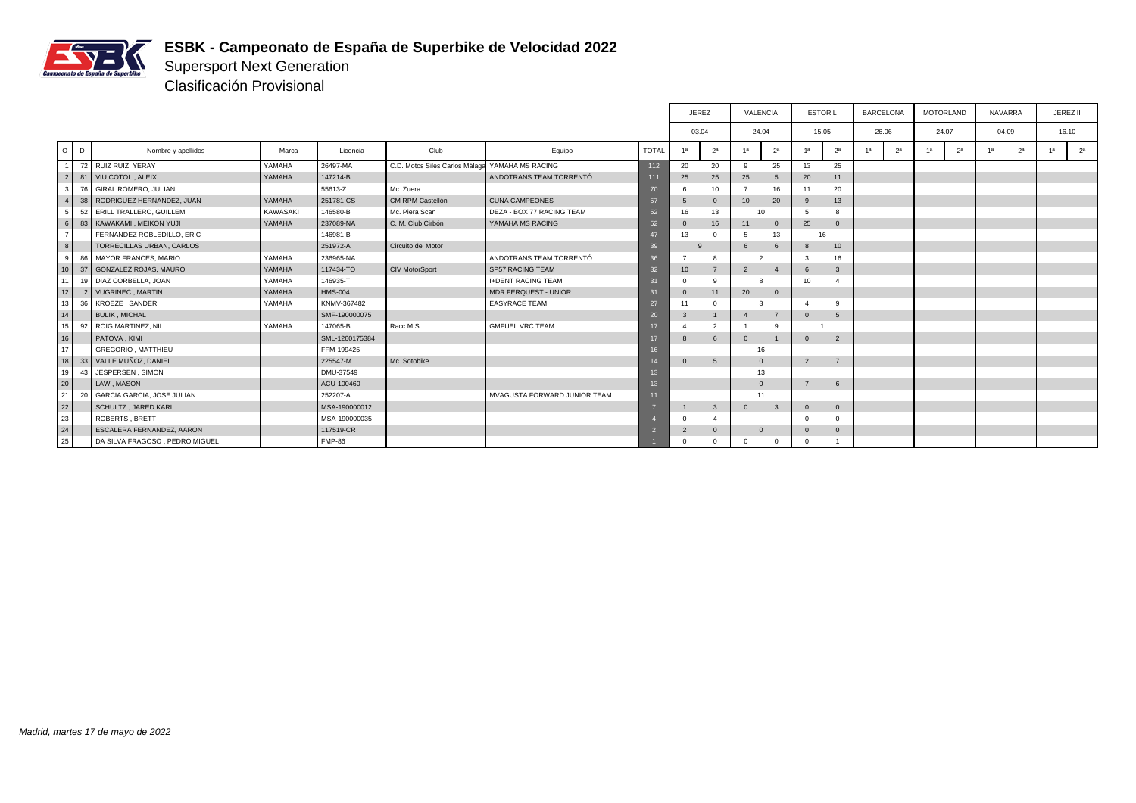

Supersport Next Generation Clasificación Provisional

|                 |    |                                |          |                |                                |                              |                 | <b>JEREZ</b>   |                |                | VALENCIA       | <b>ESTORIL</b> |                | <b>BARCELONA</b> |                |                | <b>MOTORLAND</b> | <b>NAVARRA</b> |                |    | JEREZ II       |
|-----------------|----|--------------------------------|----------|----------------|--------------------------------|------------------------------|-----------------|----------------|----------------|----------------|----------------|----------------|----------------|------------------|----------------|----------------|------------------|----------------|----------------|----|----------------|
|                 |    |                                |          |                |                                |                              |                 | 03.04          |                |                | 24.04          | 15.05          |                | 26.06            |                | 24.07          |                  |                | 04.09          |    | 16.10          |
| $O$ $D$         |    | Nombre y apellidos             | Marca    | Licencia       | Club                           | Equipo                       | <b>TOTAL</b>    | 1 <sup>a</sup> | 2 <sup>a</sup> | -1а            | 2 <sup>a</sup> | 1 <sup>a</sup> | 2 <sup>a</sup> | 1а               | 2 <sup>a</sup> | 1 <sup>a</sup> | 2 <sup>a</sup>   | 1a             | 2 <sup>a</sup> | 4a | 2 <sup>a</sup> |
|                 |    | 72 RUIZ RUIZ, YERAY            | YAMAHA   | 26497-MA       | C.D. Motos Siles Carlos Málaga | YAMAHA MS RACING             | 112             | 20             | 20             | $\mathbf{q}$   | 25             | 13             | 25             |                  |                |                |                  |                |                |    |                |
| 2 I             |    | 81 VIU COTOLI, ALEIX           | YAMAHA   | 147214-B       |                                | ANDOTRANS TEAM TORRENTÓ      | 111             | 25             | 25             | 25             |                | 20             | 11             |                  |                |                |                  |                |                |    |                |
| 3               |    | 76 GIRAL ROMERO, JULIAN        |          | 55613-Z        | Mc. Zuera                      |                              | 70              |                | 10             |                | 16             | 11             | 20             |                  |                |                |                  |                |                |    |                |
|                 |    | 38 RODRIGUEZ HERNANDEZ, JUAN   | YAMAHA   | 251781-CS      | CM RPM Castellón               | <b>CUNA CAMPEONES</b>        | 57              | 5              | $\mathbf{0}$   | 10             | 20             | 9              | 13             |                  |                |                |                  |                |                |    |                |
| -51             |    | 52 ERILL TRALLERO, GUILLEM     | KAWASAKI | 146580-B       | Mc. Piera Scan                 | DEZA - BOX 77 RACING TEAM    | 52 <sub>2</sub> | 16             | 13             |                | 10             | 5              | 8              |                  |                |                |                  |                |                |    |                |
| 6 <sup>1</sup>  |    | 83   KAWAKAMI, MEIKON YUJI     | YAMAHA   | 237089-NA      | C. M. Club Cirbón              | YAMAHA MS RACING             | 52 <sub>2</sub> | $\mathbf{0}$   | 16             | 11             | $\Omega$       | 25             | $\overline{0}$ |                  |                |                |                  |                |                |    |                |
|                 |    | FERNANDEZ ROBLEDILLO, ERIC     |          | 146981-B       |                                |                              | 47              | 13             | $\Omega$       | -5             | 13             | 16             |                |                  |                |                |                  |                |                |    |                |
| 8               |    | TORRECILLAS URBAN, CARLOS      |          | 251972-A       | Circuito del Motor             |                              | 39              |                |                | 6              | -6             | 8              | 10             |                  |                |                |                  |                |                |    |                |
| -91             |    | 86 MAYOR FRANCES, MARIO        | YAMAHA   | 236965-NA      |                                | ANDOTRANS TEAM TORRENTÓ      | 36              |                | 8              |                | 2              | 3              | 16             |                  |                |                |                  |                |                |    |                |
| 10 <sup>1</sup> |    | 37 GONZALEZ ROJAS, MAURO       | YAMAHA   | 117434-TO      | <b>CIV MotorSport</b>          | SP57 RACING TEAM             | 32              | 10             | $\overline{7}$ | 2              |                | 6              | $\mathbf{3}$   |                  |                |                |                  |                |                |    |                |
| 11              |    | 19 DIAZ CORBELLA, JOAN         | YAMAHA   | 146935-T       |                                | <b>I+DENT RACING TEAM</b>    |                 | $\Omega$       | 9              |                | 8              | 10             | $\overline{4}$ |                  |                |                |                  |                |                |    |                |
| 12              |    | 2 VUGRINEC, MARTIN             | YAMAHA   | <b>HMS-004</b> |                                | MDR FERQUEST - UNIOR         | 31              | $\mathbf{0}$   | 11             | 20             | $\mathbf{0}$   |                |                |                  |                |                |                  |                |                |    |                |
| 13              |    | 36 KROEZE, SANDER              | YAMAHA   | KNMV-367482    |                                | <b>EASYRACE TEAM</b>         | 27              | 11             | $\Omega$       |                | 3              | $\Delta$       | 9              |                  |                |                |                  |                |                |    |                |
| 14              |    | <b>BULIK, MICHAL</b>           |          | SMF-190000075  |                                |                              | 20              | $\overline{3}$ | $\mathbf{1}$   | $\overline{4}$ | $\overline{7}$ | $\Omega$       | 5              |                  |                |                |                  |                |                |    |                |
| 15              |    | 92 ROIG MARTINEZ, NIL          | YAMAHA   | 147065-B       | Racc M.S.                      | <b>GMFUEL VRC TEAM</b>       |                 |                | $\overline{2}$ |                |                |                |                |                  |                |                |                  |                |                |    |                |
| 16              |    | PATOVA, KIMI                   |          | SML-1260175384 |                                |                              | 17              | 8              | 6              | $\Omega$       |                | $\Omega$       | $\overline{2}$ |                  |                |                |                  |                |                |    |                |
| 17              |    | <b>GREGORIO, MATTHIEU</b>      |          | FFM-199425     |                                |                              | 16              |                |                |                | 16             |                |                |                  |                |                |                  |                |                |    |                |
| 18              |    | 33 VALLE MUÑOZ, DANIEL         |          | 225547-M       | Mc. Sotobike                   |                              | 14              | $\mathbf 0$    | 5              |                | $\Omega$       | $\overline{2}$ | $\overline{7}$ |                  |                |                |                  |                |                |    |                |
| 19              | 43 | JESPERSEN, SIMON               |          | DMU-37549      |                                |                              | 13              |                |                |                | 13             |                |                |                  |                |                |                  |                |                |    |                |
| 20              |    | LAW, MASON                     |          | ACU-100460     |                                |                              | 13              |                |                |                | $\overline{0}$ | $\overline{7}$ | 6              |                  |                |                |                  |                |                |    |                |
| 21              |    | 20 GARCIA GARCIA, JOSE JULIAN  |          | 252207-A       |                                | MVAGUSTA FORWARD JUNIOR TEAM | 11              |                |                |                | 11             |                |                |                  |                |                |                  |                |                |    |                |
| 22              |    | <b>SCHULTZ, JARED KARL</b>     |          | MSA-190000012  |                                |                              |                 |                | $\mathbf{3}$   | $\Omega$       | 3              | $\Omega$       | $\overline{0}$ |                  |                |                |                  |                |                |    |                |
| 23              |    | ROBERTS, BRETT                 |          | MSA-190000035  |                                |                              |                 | $\Omega$       |                |                |                | $\Omega$       | $\Omega$       |                  |                |                |                  |                |                |    |                |
| 24              |    | ESCALERA FERNANDEZ, AARON      |          | 117519-CR      |                                |                              |                 | $\overline{2}$ | $\mathbf 0$    |                | $\overline{0}$ | $\Omega$       | $\mathbf 0$    |                  |                |                |                  |                |                |    |                |
| 25              |    | DA SILVA FRAGOSO, PEDRO MIGUEL |          | <b>FMP-86</b>  |                                |                              |                 | $\Omega$       | $\Omega$       |                |                | $\Omega$       |                |                  |                |                |                  |                |                |    |                |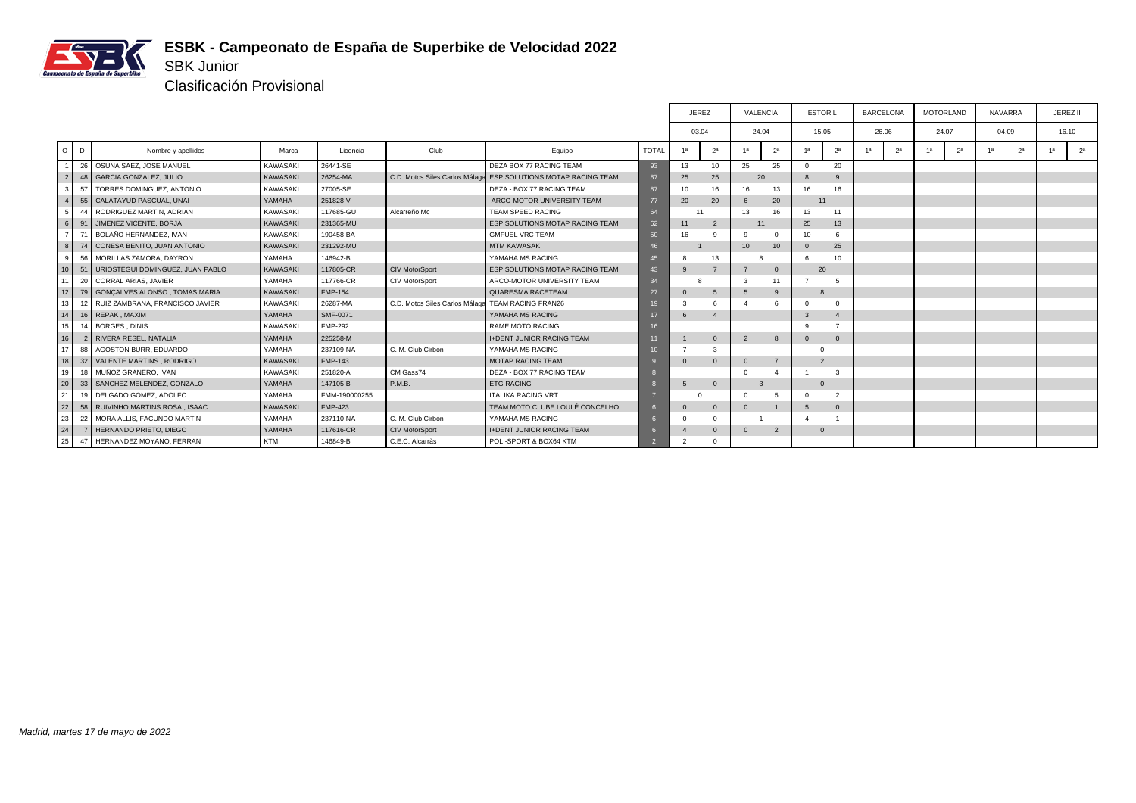

Clasificación Provisional

SBK Junior

|                 |    |                                      |                 |                |                                |                                                                |                 |                | <b>JEREZ</b>   |                | VALENCIA       | <b>ESTORIL</b> |                |                | <b>BARCELONA</b> |    | <b>MOTORLAND</b> |                | <b>NAVARRA</b> | JEREZ II       |
|-----------------|----|--------------------------------------|-----------------|----------------|--------------------------------|----------------------------------------------------------------|-----------------|----------------|----------------|----------------|----------------|----------------|----------------|----------------|------------------|----|------------------|----------------|----------------|----------------|
|                 |    |                                      |                 |                |                                |                                                                |                 | 03.04          |                |                | 24.04          |                | 15.05          |                | 26.06            |    | 24.07            | 04.09          |                | 16.10          |
| O <sub>0</sub>  |    | Nombre y apellidos                   | Marca           | Licencia       | Club                           | Equipo                                                         | <b>TOTAL</b>    | 1a             | 2 <sup>a</sup> |                | 2 <sup>a</sup> | 1 <sup>a</sup> | 2 <sup>a</sup> | 1 <sup>a</sup> | 2 <sup>a</sup>   | 1a | 2 <sup>a</sup>   | 1 <sup>a</sup> | 2 <sup>a</sup> | 2 <sup>a</sup> |
|                 | 26 | OSUNA SAEZ, JOSE MANUEL              | KAWASAKI        | 26441-SE       |                                | DEZA BOX 77 RACING TEAM                                        | 93              | 13             | 10             | 25             | 25             | $\Omega$       | 20             |                |                  |    |                  |                |                |                |
| $\overline{2}$  | 48 | GARCIA GONZALEZ, JULIO               | <b>KAWASAKI</b> | 26254-MA       |                                | C.D. Motos Siles Carlos Málaga ESP SOLUTIONS MOTAP RACING TEAM | 87              | 25             | 25             |                | 20             |                | 9              |                |                  |    |                  |                |                |                |
| $\mathbf{3}$    | 57 | TORRES DOMINGUEZ, ANTONIO            | KAWASAKI        | 27005-SE       |                                | DEZA - BOX 77 RACING TEAM                                      | 87              | 10             | 16             | 16             | 13             | 16             | 16             |                |                  |    |                  |                |                |                |
| 4 <sup>1</sup>  | 55 | CALATAYUD PASCUAL, UNAI              | YAMAHA          | 251828-V       |                                | ARCO-MOTOR UNIVERSITY TEAM                                     | 77              | 20             | 20             | -6             | 20             |                | 11             |                |                  |    |                  |                |                |                |
|                 | 44 | RODRIGUEZ MARTIN, ADRIAN             | KAWASAKI        | 117685-GU      | Alcarreño Mc                   | TEAM SPEED RACING                                              | 64              |                |                | 13             | 16             | 13             | 11             |                |                  |    |                  |                |                |                |
| 6 <sup>1</sup>  | 91 | <b>JIMENEZ VICENTE, BORJA</b>        | KAWASAKI        | 231365-MU      |                                | <b>ESP SOLUTIONS MOTAP RACING TEAM</b>                         | 62              | 11             | $\overline{2}$ | 11             |                | 25             | 13             |                |                  |    |                  |                |                |                |
|                 |    | BOLAÑO HERNANDEZ, IVAN               | KAWASAKI        | 190458-BA      |                                | <b>GMFUEL VRC TEAM</b>                                         | 50              | 16             | q              |                | $\Omega$       | 10             | 6              |                |                  |    |                  |                |                |                |
| 8 <sup>1</sup>  | 74 | CONESA BENITO, JUAN ANTONIO          | KAWASAKI        | 231292-MU      |                                | <b>MTM KAWASAKI</b>                                            | 46              |                |                | 10             | 10             |                | 25             |                |                  |    |                  |                |                |                |
| -9              | 56 | MORILLAS ZAMORA, DAYRON              | YAMAHA          | 146942-B       |                                | YAMAHA MS RACING                                               | 45              |                | 13             |                |                |                | 10             |                |                  |    |                  |                |                |                |
| 10 <sup>1</sup> | 51 | URIOSTEGUI DOMINGUEZ, JUAN PABLO     | <b>KAWASAKI</b> | 117805-CR      | <b>CIV MotorSport</b>          | <b>ESP SOLUTIONS MOTAP RACING TEAM</b>                         | 43              | 9              |                |                | $\Omega$       |                | 20             |                |                  |    |                  |                |                |                |
| 11              | 20 | CORRAL ARIAS, JAVIER                 | YAMAHA          | 117766-CR      | CIV MotorSport                 | ARCO-MOTOR UNIVERSITY TEAM                                     | 34              |                |                |                | 11             |                | -5             |                |                  |    |                  |                |                |                |
| 12 <sup>1</sup> |    | 79 GONCALVES ALONSO, TOMAS MARIA     | KAWASAKI        | <b>FMP-154</b> |                                | QUARESMA RACETEAM                                              | 27              | $\mathbf{0}$   | 5              | 5              | -9             | $\mathbf{8}$   |                |                |                  |    |                  |                |                |                |
| 13              |    | 12   RUIZ ZAMBRANA, FRANCISCO JAVIER | KAWASAKI        | 26287-MA       | C.D. Motos Siles Carlos Málaga | <b>TEAM RACING FRAN26</b>                                      | 19              | 3              | 6              |                |                |                | $\Omega$       |                |                  |    |                  |                |                |                |
| 14              |    | 16 REPAK, MAXIM                      | YAMAHA          | SMF-0071       |                                | YAMAHA MS RACING                                               |                 | 6              | $\overline{4}$ |                |                |                | $\overline{4}$ |                |                  |    |                  |                |                |                |
| 15              | 14 | BORGES, DINIS                        | KAWASAKI        | <b>FMP-292</b> |                                | <b>RAME MOTO RACING</b>                                        | 16              |                |                |                |                |                |                |                |                  |    |                  |                |                |                |
| 16              |    | RIVERA RESEL, NATALIA                | YAMAHA          | 225258-M       |                                | <b>I+DENT JUNIOR RACING TEAM</b>                               |                 |                | $\mathbf{0}$   | $\overline{2}$ | 8              | $\Omega$       | $\overline{0}$ |                |                  |    |                  |                |                |                |
| 17              | 88 | AGOSTON BURR, EDUARDO                | YAMAHA          | 237109-NA      | C. M. Club Cirbón              | YAMAHA MS RACING                                               | 10 <sup>1</sup> |                | 3              |                |                |                |                |                |                  |    |                  |                |                |                |
| 18              |    | 32 VALENTE MARTINS, RODRIGO          | <b>KAWASAKI</b> | <b>FMP-143</b> |                                | <b>MOTAP RACING TEAM</b>                                       |                 | $\overline{0}$ | $\mathbf{0}$   | $\Omega$       |                | $\overline{2}$ |                |                |                  |    |                  |                |                |                |
| 19              | 18 | MUÑOZ GRANERO. IVAN                  | KAWASAKI        | 251820-A       | CM Gass74                      | DEZA - BOX 77 RACING TEAM                                      |                 |                |                |                |                |                | 3              |                |                  |    |                  |                |                |                |
| 20              |    | 33 SANCHEZ MELENDEZ, GONZALO         | YAMAHA          | 147105-B       | P.M.B.                         | <b>ETG RACING</b>                                              |                 | 5              | $\mathbf{0}$   | $\mathbf{3}$   |                | $\Omega$       |                |                |                  |    |                  |                |                |                |
| 21              |    | 19 DELGADO GOMEZ, ADOLFO             | YAMAHA          | FMM-190000255  |                                | <b>ITALIKA RACING VRT</b>                                      |                 |                |                |                | 5              |                | $\overline{2}$ |                |                  |    |                  |                |                |                |
| 22              |    | 58 RUIVINHO MARTINS ROSA, ISAAC      | KAWASAKI        | <b>FMP-423</b> |                                | TEAM MOTO CLUBE LOULÉ CONCELHO                                 |                 | $\mathbf{0}$   | $\mathbf{0}$   |                |                | 5              | $\overline{0}$ |                |                  |    |                  |                |                |                |
| 23              | 22 | MORA ALLIS, FACUNDO MARTIN           | YAMAHA          | 237110-NA      | C. M. Club Cirbón              | YAMAHA MS RACING                                               |                 | $\Omega$       | $\Omega$       |                |                |                |                |                |                  |    |                  |                |                |                |
| 24              |    | HERNANDO PRIETO, DIEGO               | YAMAHA          | 117616-CR      | <b>CIV MotorSport</b>          | <b>I+DENT JUNIOR RACING TEAM</b>                               |                 |                | $\mathbf{0}$   | $\Omega$       | $\overline{2}$ | $\mathbf{0}$   |                |                |                  |    |                  |                |                |                |
| 25 <sub>1</sub> | 47 | HERNANDEZ MOYANO, FERRAN             | KTM             | 146849-B       | C.E.C. Alcarràs                | POLI-SPORT & BOX64 KTM                                         |                 | $\mathcal{P}$  | $\Omega$       |                |                |                |                |                |                  |    |                  |                |                |                |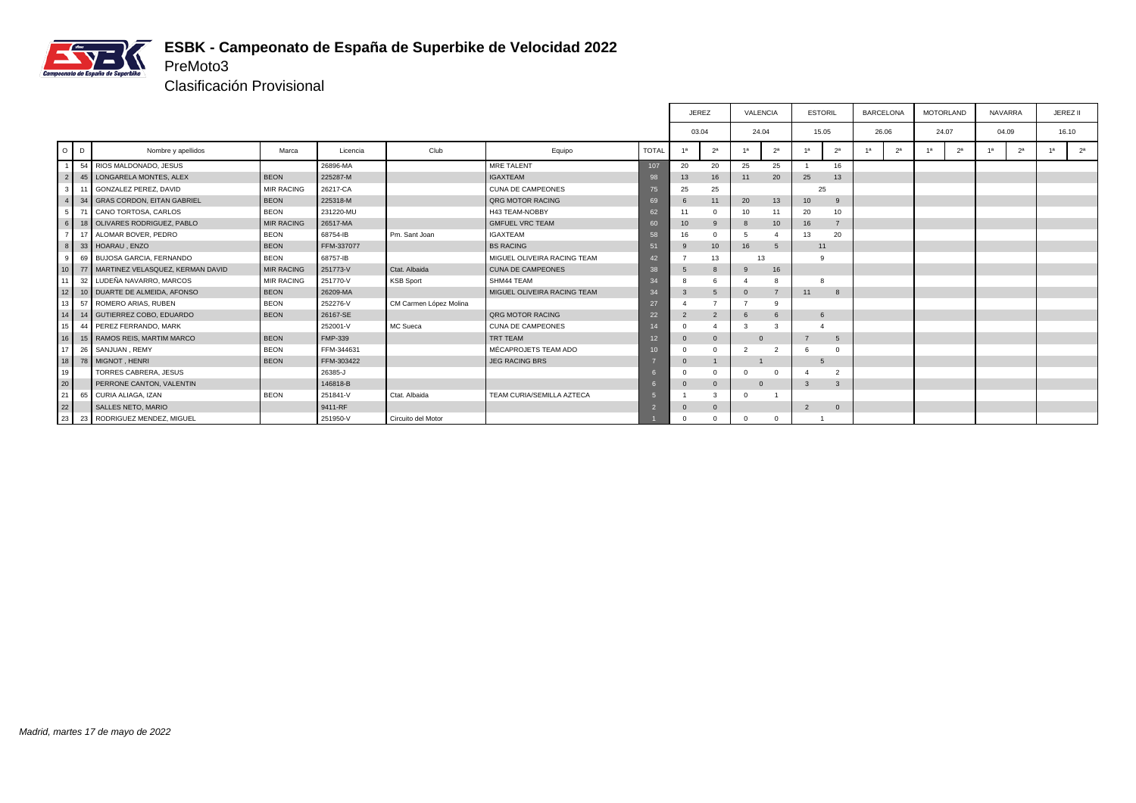

Clasificación Provisional

PreMoto3

|                 |    |                                     |                   |                |                        |                             |                 | <b>JEREZ</b>   |                | VALENCIA       |                  | <b>ESTORIL</b>   |                | <b>BARCELONA</b> |                |    | <b>MOTORLAND</b> | <b>NAVARRA</b> |                | JEREZ II       |
|-----------------|----|-------------------------------------|-------------------|----------------|------------------------|-----------------------------|-----------------|----------------|----------------|----------------|------------------|------------------|----------------|------------------|----------------|----|------------------|----------------|----------------|----------------|
|                 |    |                                     |                   |                |                        |                             |                 | 03.04          |                | 24.04          |                  | 15.05            |                | 26.06            |                |    | 24.07            |                | 04.09          | 16.10          |
| $O$ $D$         |    | Nombre y apellidos                  | Marca             | Licencia       | Club                   | Equipo                      | <b>TOTAL</b>    | 1a             | 2 <sup>a</sup> | 4a             | 2 <sup>a</sup>   | 1a               | 2 <sup>a</sup> | 1a               | 2 <sup>a</sup> | 1a | 2 <sup>a</sup>   | 1a             | 2 <sup>a</sup> | 2 <sup>a</sup> |
|                 |    | 54 RIOS MALDONADO, JESUS            |                   | 26896-MA       |                        | MRE TALENT                  | 107             | 20             | 20             | 25             | 25               |                  | 16             |                  |                |    |                  |                |                |                |
| $\overline{2}$  |    | 45   LONGARELA MONTES, ALEX         | <b>BEON</b>       | 225287-M       |                        | <b>IGAXTEAM</b>             | 98              | 13             | 16             | 11             | 20               | 25               | 13             |                  |                |    |                  |                |                |                |
| 3 I             | 11 | GONZALEZ PEREZ, DAVID               | <b>MIR RACING</b> | 26217-CA       |                        | <b>CUNA DE CAMPEONES</b>    | 75              | 25             | 25             |                |                  | 25               |                |                  |                |    |                  |                |                |                |
| $\mathbf{A}$    | 34 | <b>GRAS CORDON, EITAN GABRIEL</b>   | <b>BEON</b>       | 225318-M       |                        | <b>QRG MOTOR RACING</b>     | 69              | 6              | 11             | 20             | 13               | 10 <sup>10</sup> | 9              |                  |                |    |                  |                |                |                |
| 51              |    | 71 CANO TORTOSA, CARLOS             | <b>BEON</b>       | 231220-MU      |                        | H43 TEAM-NOBBY              | 62              | 11             | 0              | 10             | 11               | 20               | 10             |                  |                |    |                  |                |                |                |
| 6 I             |    | 18 OLIVARES RODRIGUEZ, PABLO        | <b>MIR RACING</b> | 26517-MA       |                        | <b>GMFUEL VRC TEAM</b>      | 60              | 10             | 9              |                | 10 <sup>10</sup> | 16               | $\overline{7}$ |                  |                |    |                  |                |                |                |
|                 |    | 17 ALOMAR BOVER, PEDRO              | <b>BEON</b>       | 68754-IB       | Pm. Sant Joan          | <b>IGAXTEAM</b>             | 58              | 16             | $\Omega$       |                |                  | 13               | 20             |                  |                |    |                  |                |                |                |
| 8               |    | 33 HOARAU, ENZO                     | <b>BEON</b>       | FFM-337077     |                        | <b>BS RACING</b>            | 51              | 9              | 10             | 16             | $5^{\circ}$      | 11               |                |                  |                |    |                  |                |                |                |
| -91             |    | 69 BUJOSA GARCIA, FERNANDO          | <b>BEON</b>       | 68757-IB       |                        | MIGUEL OLIVEIRA RACING TEAM | 42              |                | 13             | 13             |                  | <b>q</b>         |                |                  |                |    |                  |                |                |                |
| 10 <sup>1</sup> |    | 77 MARTINEZ VELASQUEZ, KERMAN DAVID | <b>MIR RACING</b> | 251773-V       | Ctat, Albaida          | <b>CUNA DE CAMPEONES</b>    | 38              | 5              | 8              |                | 16               |                  |                |                  |                |    |                  |                |                |                |
| 11              |    | 32 LUDEÑA NAVARRO, MARCOS           | <b>MIR RACING</b> | 251770-V       | <b>KSB Sport</b>       | SHM44 TEAM                  | 34              | 8              | 6              |                |                  |                  |                |                  |                |    |                  |                |                |                |
| 12              |    | 10 DUARTE DE ALMEIDA, AFONSO        | <b>BEON</b>       | 26209-MA       |                        | MIGUEL OLIVEIRA RACING TEAM | 34              | 3              | 5              | $\Omega$       |                  | 11               | 8              |                  |                |    |                  |                |                |                |
| 13 <sup>1</sup> |    | 57 ROMERO ARIAS, RUBEN              | <b>BEON</b>       | 252276-V       | CM Carmen López Molina |                             | 27              |                |                |                |                  |                  |                |                  |                |    |                  |                |                |                |
| 14              |    | 14 GUTIERREZ COBO, EDUARDO          | <b>BEON</b>       | 26167-SE       |                        | <b>QRG MOTOR RACING</b>     | 22              | $\overline{2}$ | $\overline{2}$ | 6              | 6                | 6                |                |                  |                |    |                  |                |                |                |
| 15              |    | 44 PEREZ FERRANDO, MARK             |                   | 252001-V       | MC Sueca               | <b>CUNA DE CAMPEONES</b>    |                 |                |                |                |                  |                  |                |                  |                |    |                  |                |                |                |
| 16              |    | 15 RAMOS REIS, MARTIM MARCO         | <b>BEON</b>       | <b>FMP-339</b> |                        | TRT TEAM                    | 12 <sup>°</sup> | $\mathbf{0}$   | $\mathbf{0}$   | $\Omega$       |                  |                  | 5              |                  |                |    |                  |                |                |                |
| 17              |    | 26 SANJUAN, REMY                    | <b>BEON</b>       | FFM-344631     |                        | MÉCAPROJETS TEAM ADO        | 10 <sup>1</sup> |                | $\Omega$       |                |                  | 6                | $\Omega$       |                  |                |    |                  |                |                |                |
| 18              |    | 78 MIGNOT, HENRI                    | <b>BEON</b>       | FFM-303422     |                        | <b>JEG RACING BRS</b>       |                 | $\mathbf 0$    |                |                |                  | -5               |                |                  |                |    |                  |                |                |                |
| 19              |    | TORRES CABRERA, JESUS               |                   | 26385-J        |                        |                             |                 | $\Omega$       | 0              | $\Omega$       |                  |                  | $\overline{2}$ |                  |                |    |                  |                |                |                |
| 20              |    | PERRONE CANTON, VALENTIN            |                   | 146818-B       |                        |                             |                 | $\mathbf 0$    | $\mathbf{0}$   | $\overline{0}$ |                  | 3                | $\overline{3}$ |                  |                |    |                  |                |                |                |
| 21              |    | 65 CURIA ALIAGA, IZAN               | <b>BEON</b>       | 251841-V       | Ctat, Albaida          | TEAM CURIA/SEMILLA AZTECA   |                 |                | 3              | $\Omega$       |                  |                  |                |                  |                |    |                  |                |                |                |
| 22              |    | SALLES NETO, MARIO                  |                   | 9411-RF        |                        |                             |                 |                | $\mathbf 0$    |                |                  | $\overline{2}$   | $\overline{0}$ |                  |                |    |                  |                |                |                |
| 23              | 23 | RODRIGUEZ MENDEZ, MIGUEL            |                   | 251950-V       | Circuito del Motor     |                             |                 |                | $\Omega$       |                | $\Omega$         |                  |                |                  |                |    |                  |                |                |                |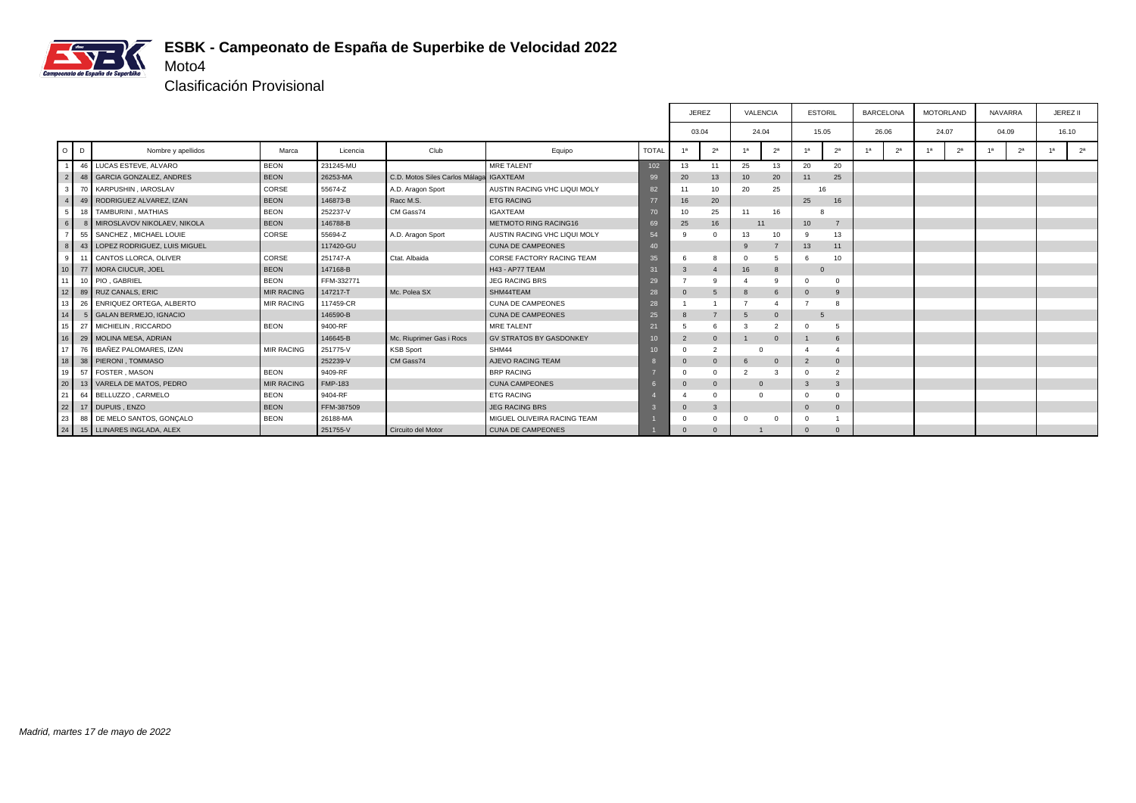

Clasificación Provisional

|                 |                 |                                 |                   |                |                                |                                  |                 | <b>JEREZ</b>   |                |               | VALENCIA       | <b>ESTORIL</b>   |                 |                | <b>BARCELONA</b> |    | <b>MOTORLAND</b> |    | <b>NAVARRA</b> | JEREZ II       |
|-----------------|-----------------|---------------------------------|-------------------|----------------|--------------------------------|----------------------------------|-----------------|----------------|----------------|---------------|----------------|------------------|-----------------|----------------|------------------|----|------------------|----|----------------|----------------|
|                 |                 |                                 |                   |                |                                |                                  |                 | 03.04          |                |               | 24.04          | 15.05            |                 |                | 26.06            |    | 24.07            |    | 04.09          | 16.10          |
| $O$ $D$         |                 | Nombre y apellidos              | Marca             | Licencia       | Club                           | Equipo                           | <b>TOTAL</b>    | 1a             | 2 <sup>a</sup> |               | 2 <sup>a</sup> | 1a               | 2 <sup>a</sup>  | 1 <sup>a</sup> | 2 <sup>a</sup>   | 1a | 2 <sup>a</sup>   | 1a | 2 <sup>a</sup> | 2 <sup>a</sup> |
| $\overline{1}$  | 46              | LUCAS ESTEVE, ALVARO            | <b>BEON</b>       | 231245-MU      |                                | MRE TALENT                       | 102             | 13             | 11             | 25            | 13             | 20               | 20              |                |                  |    |                  |    |                |                |
| $\overline{2}$  | 48              | <b>GARCIA GONZALEZ, ANDRES</b>  | <b>BEON</b>       | 26253-MA       | C.D. Motos Siles Carlos Málaga | <b>IGAXTEAM</b>                  | 99              | 20             | 13             | 10            | 20             | 11               | 25              |                |                  |    |                  |    |                |                |
| 3               |                 | 70 KARPUSHIN, IAROSLAV          | CORSE             | 55674-Z        | A.D. Aragon Sport              | AUSTIN RACING VHC LIQUI MOLY     | 82              | 11             | 10             | 20            | 25             | 16               |                 |                |                  |    |                  |    |                |                |
| $\overline{4}$  |                 | 49   RODRIGUEZ ALVAREZ, IZAN    | <b>BEON</b>       | 146873-B       | Racc M.S.                      | <b>ETG RACING</b>                | 77              | 16             | 20             |               |                | 25               | 16              |                |                  |    |                  |    |                |                |
| 5               |                 | 18 TAMBURINI, MATHIAS           | <b>BEON</b>       | 252237-V       | CM Gass74                      | <b>IGAXTEAM</b>                  | 70              | 10             | 25             | 11            | 16             |                  |                 |                |                  |    |                  |    |                |                |
| 6               |                 | MIROSLAVOV NIKOLAEV, NIKOLA     | <b>BEON</b>       | 146788-B       |                                | METMOTO RING RACING16            | 69              | 25             | 16             |               | 11             | 10 <sup>10</sup> | $\overline{7}$  |                |                  |    |                  |    |                |                |
| $\overline{7}$  | 55              | SANCHEZ, MICHAEL LOUIE          | CORSE             | 55694-Z        | A.D. Aragon Sport              | AUSTIN RACING VHC LIQUI MOLY     | 54              | q              | $\Omega$       | 13            | 10             | 9                | 13              |                |                  |    |                  |    |                |                |
| 8               | 43              | LOPEZ RODRIGUEZ, LUIS MIGUEL    |                   | 117420-GU      |                                | CUNA DE CAMPEONES                | 40              |                |                | $\alpha$      |                | 13               | 11              |                |                  |    |                  |    |                |                |
| 9 <sup>1</sup>  | 11              | CANTOS LLORCA, OLIVER           | CORSE             | 251747-A       | Ctat, Albaida                  | <b>CORSE FACTORY RACING TEAM</b> | 35              |                | 8              |               | 5              | 6                | 10              |                |                  |    |                  |    |                |                |
| 10 <sup>1</sup> |                 | 77 MORA CIUCUR, JOEL            | <b>BEON</b>       | 147168-B       |                                | H43 - AP77 TEAM                  | 31              | 3              | $\overline{4}$ | 16            | 8              | $\Omega$         |                 |                |                  |    |                  |    |                |                |
| 11              |                 | 10 PIO, GABRIEL                 | <b>BEON</b>       | FFM-332771     |                                | <b>JEG RACING BRS</b>            | 29              |                | q              |               |                |                  | $\Omega$        |                |                  |    |                  |    |                |                |
| 12              | 89              | <b>RUZ CANALS, ERIC</b>         | <b>MIR RACING</b> | 147217-T       | Mc. Polea SX                   | SHM44TEAM                        | 28              | $\mathbf 0$    | 5              | $\mathbf{8}$  | 6              | $\mathbf 0$      | 9               |                |                  |    |                  |    |                |                |
| 13              | 26              | <b>ENRIQUEZ ORTEGA, ALBERTO</b> | <b>MIR RACING</b> | 117459-CR      |                                | <b>CUNA DE CAMPEONES</b>         | 28              |                |                |               |                |                  |                 |                |                  |    |                  |    |                |                |
| 14              | 5               | <b>GALAN BERMEJO, IGNACIO</b>   |                   | 146590-B       |                                | <b>CUNA DE CAMPEONES</b>         | 25              | 8              |                | -5            | $\Omega$       | -5               |                 |                |                  |    |                  |    |                |                |
| 15              | 27              | MICHIELIN, RICCARDO             | <b>BEON</b>       | 9400-RF        |                                | <b>MRE TALENT</b>                | 21              | 5              | 6              |               |                |                  | 5               |                |                  |    |                  |    |                |                |
| 16              | 29              | MOLINA MESA, ADRIAN             |                   | 146645-B       | Mc. Riuprimer Gas i Rocs       | <b>GV STRATOS BY GASDONKEY</b>   | 10 <sub>1</sub> | $\overline{2}$ | $\mathbf{0}$   |               | $\Omega$       |                  | $6\phantom{1}6$ |                |                  |    |                  |    |                |                |
| 17              | 76              | IBAÑEZ PALOMARES, IZAN          | <b>MIR RACING</b> | 251775-V       | <b>KSB Sport</b>               | SHM44                            | 1 <sub>0</sub>  | $\Omega$       | $\overline{2}$ |               | $\Omega$       |                  |                 |                |                  |    |                  |    |                |                |
| 18              |                 | 38 PIERONI, TOMMASO             |                   | 252239-V       | CM Gass74                      | AJEVO RACING TEAM                |                 | $\overline{0}$ | $\mathbf{0}$   | <b>6</b>      | $\Omega$       | $\overline{2}$   | $\mathbf{0}$    |                |                  |    |                  |    |                |                |
| 19              | 57              | FOSTER, MASON                   | <b>BEON</b>       | 9409-RF        |                                | <b>BRP RACING</b>                |                 | $\Omega$       | $\Omega$       | $\mathcal{L}$ | 3              |                  | $\overline{2}$  |                |                  |    |                  |    |                |                |
| 20              | 13              | VARELA DE MATOS, PEDRO          | <b>MIR RACING</b> | <b>FMP-183</b> |                                | <b>CUNA CAMPEONES</b>            |                 | $\mathbf{0}$   | $\mathbf{0}$   |               | $\Omega$       |                  | 3               |                |                  |    |                  |    |                |                |
| 21              | 64              | BELLUZZO, CARMELO               | <b>BEON</b>       | 9404-RF        |                                | <b>ETG RACING</b>                |                 |                | $\Omega$       |               | $\Omega$       | $\Omega$         | $\Omega$        |                |                  |    |                  |    |                |                |
| 22              |                 | 17 DUPUIS, ENZO                 | <b>BEON</b>       | FFM-387509     |                                | JEG RACING BRS                   |                 | $\mathbf 0$    | 3              |               |                | $\Omega$         | $\mathbf{0}$    |                |                  |    |                  |    |                |                |
| 23              | 88              | DE MELO SANTOS, GONÇALO         | <b>BEON</b>       | 26188-MA       |                                | MIGUEL OLIVEIRA RACING TEAM      |                 |                | $\Omega$       |               | $\Omega$       |                  |                 |                |                  |    |                  |    |                |                |
| 24              | 15 <sup>1</sup> | LLINARES INGLADA, ALEX          |                   | 251755-V       | Circuito del Motor             | <b>CUNA DE CAMPEONES</b>         |                 | $\Omega$       | $\Omega$       |               |                |                  | $\Omega$        |                |                  |    |                  |    |                |                |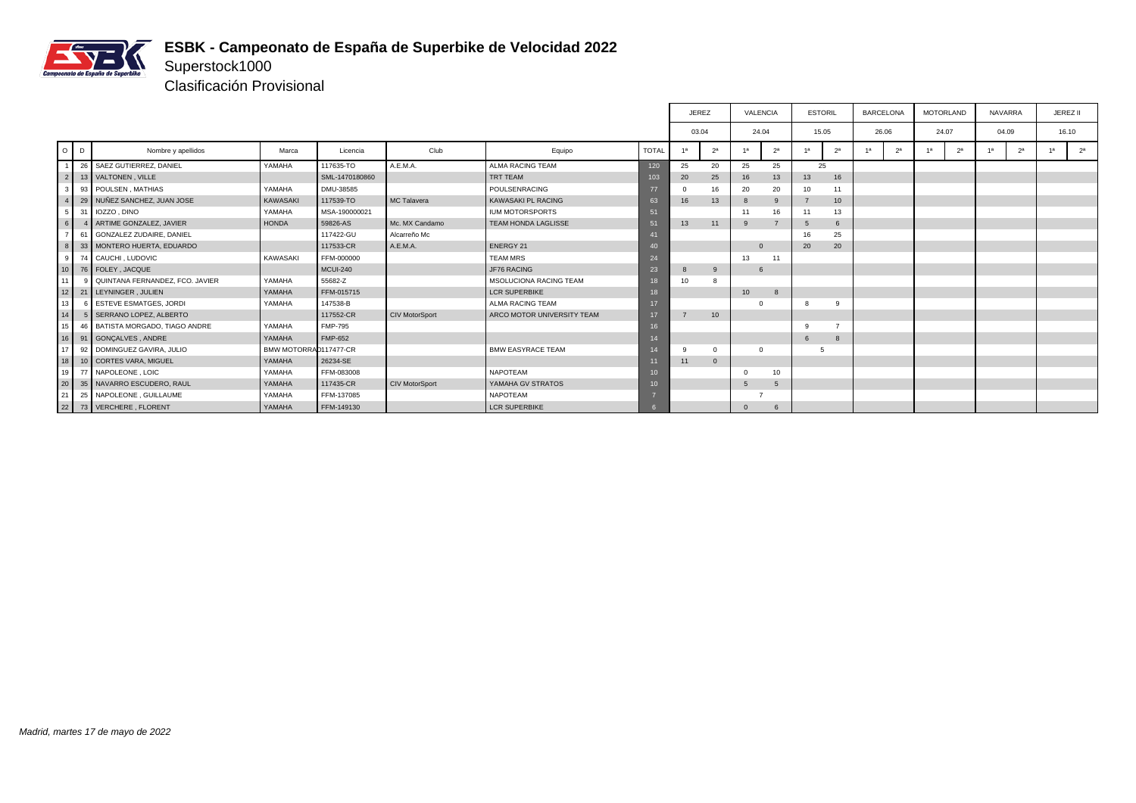

Superstock1000 Clasificación Provisional

|                 |                                   |                       |                 |                       |                            |                  | <b>JEREZ</b>    |                  | VALENCIA |                | <b>ESTORIL</b> |                | <b>BARCELONA</b>     | <b>MOTORLAND</b> |                | <b>NAVARRA</b> |                |    | JEREZ II       |
|-----------------|-----------------------------------|-----------------------|-----------------|-----------------------|----------------------------|------------------|-----------------|------------------|----------|----------------|----------------|----------------|----------------------|------------------|----------------|----------------|----------------|----|----------------|
|                 |                                   |                       |                 |                       |                            |                  | 03.04           |                  | 24.04    |                | 15.05          |                | 26.06                | 24.07            |                |                | 04.09          |    | 16.10          |
| $O$ $D$         | Nombre y apellidos                | Marca                 | Licencia        | Club                  | Equipo                     | <b>TOTAL</b>     | 1a              | 2 <sup>a</sup>   | -1а      | 2 <sup>a</sup> | 1 <sup>a</sup> | 2 <sup>a</sup> | 2 <sup>a</sup><br>1а | 1 <sup>a</sup>   | 2 <sup>a</sup> | 1a             | 2 <sup>a</sup> | 1a | 2 <sup>a</sup> |
|                 | 26 SAEZ GUTIERREZ, DANIEL         | YAMAHA                | 117635-TO       | A.E.M.A.              | <b>ALMA RACING TEAM</b>    | 120              | 25              | 20               | 25       | 25             | 25             |                |                      |                  |                |                |                |    |                |
| 2 <sup>1</sup>  | 13 VALTONEN . VILLE               |                       | SML-1470180860  |                       | TRT TEAM                   | 103              | 20              | 25               | 16       | 13             | 13             | 16             |                      |                  |                |                |                |    |                |
| $\mathbf{3}$    | 93 POULSEN, MATHIAS               | YAMAHA                | DMU-38585       |                       | POULSENRACING              | 77               |                 | 16               | 20       | 20             | 10             | 11             |                      |                  |                |                |                |    |                |
|                 | 29 NUÑEZ SANCHEZ, JUAN JOSE       | KAWASAKI              | 117539-TO       | MC Talavera           | KAWASAKI PL RACING         | 63               | 16              | 13               | -8       |                |                | 10             |                      |                  |                |                |                |    |                |
| -5 I            | 31 IOZZO, DINO                    | YAMAHA                | MSA-190000021   |                       | IUM MOTORSPORTS            | 51               |                 |                  | 11       | 16             | 11             | 13             |                      |                  |                |                |                |    |                |
| 6 I             | ARTIME GONZALEZ, JAVIER           | <b>HONDA</b>          | 59826-AS        | Mc. MX Candamo        | <b>TEAM HONDA LAGLISSE</b> | 51               | 13              | 11               | 9        |                | 5              | 6              |                      |                  |                |                |                |    |                |
|                 | 61 GONZALEZ ZUDAIRE, DANIEL       |                       | 117422-GU       | Alcarreño Mc          |                            |                  |                 |                  |          |                |                | 25             |                      |                  |                |                |                |    |                |
| $\mathbf{8}$    | 33 MONTERO HUERTA, EDUARDO        |                       | 117533-CR       | A.E.M.A.              | <b>ENERGY 21</b>           | 40               |                 |                  | $\Omega$ |                | 20             | 20             |                      |                  |                |                |                |    |                |
| 9 I             | 74 CAUCHI, LUDOVIC                | KAWASAKI              | FFM-000000      |                       | <b>TEAM MRS</b>            | 24               |                 |                  | 13       | 11             |                |                |                      |                  |                |                |                |    |                |
|                 | 10 76 FOLEY, JACQUE               |                       | <b>MCUI-240</b> |                       | JF76 RACING                | 23               | 8               | 9                | 6        |                |                |                |                      |                  |                |                |                |    |                |
| 11              | 9 QUINTANA FERNANDEZ, FCO, JAVIER | YAMAHA                | 55682-Z         |                       | MSOLUCIONA RACING TEAM     | 18               | 10 <sup>1</sup> |                  |          |                |                |                |                      |                  |                |                |                |    |                |
|                 | 12 21 LEYNINGER, JULIEN           | YAMAHA                | FFM-015715      |                       | <b>LCR SUPERBIKE</b>       | 18               |                 |                  | 10       | 8              |                |                |                      |                  |                |                |                |    |                |
| 13 <sup>1</sup> | 6 ESTEVE ESMATGES, JORDI          | YAMAHA                | 147538-B        |                       | <b>ALMA RACING TEAM</b>    | 17               |                 |                  | $\Omega$ |                | 8              | 9              |                      |                  |                |                |                |    |                |
| 14              | 5 SERRANO LOPEZ, ALBERTO          |                       | 117552-CR       | <b>CIV MotorSport</b> | ARCO MOTOR UNIVERSITY TEAM | 17 <sup>2</sup>  |                 | 10 <sup>10</sup> |          |                |                |                |                      |                  |                |                |                |    |                |
| 15 <sup>1</sup> | 46 BATISTA MORGADO, TIAGO ANDRE   | YAMAHA                | <b>FMP-795</b>  |                       |                            | 16               |                 |                  |          |                | 9              |                |                      |                  |                |                |                |    |                |
|                 | 16 91 GONCALVES, ANDRE            | YAMAHA                | <b>FMP-652</b>  |                       |                            | 14               |                 |                  |          |                | 6              | 8              |                      |                  |                |                |                |    |                |
| 17 <sup>1</sup> | 92 DOMINGUEZ GAVIRA, JULIO        | BMW MOTORRAD117477-CR |                 |                       | <b>BMW EASYRACE TEAM</b>   |                  | 9               | $\Omega$         | $\Omega$ |                |                |                |                      |                  |                |                |                |    |                |
| 18 <sup>1</sup> | 10 CORTES VARA, MIGUEL            | YAMAHA                | 26234-SE        |                       |                            | 11               | 11              | $\mathbf{0}$     |          |                |                |                |                      |                  |                |                |                |    |                |
|                 | 19 77 NAPOLEONE . LOIC            | YAMAHA                | FFM-083008      |                       | NAPOTEAM                   | 10 <sup>10</sup> |                 |                  |          | 10             |                |                |                      |                  |                |                |                |    |                |
| 20              | 35 NAVARRO ESCUDERO, RAUL         | YAMAHA                | 117435-CR       | <b>CIV MotorSport</b> | YAMAHA GV STRATOS          | $10-10$          |                 |                  | $-5$     | 5              |                |                |                      |                  |                |                |                |    |                |
| 21              | 25 NAPOLEONE, GUILLAUME           | YAMAHA                | FFM-137085      |                       | NAPOTEAM                   |                  |                 |                  |          |                |                |                |                      |                  |                |                |                |    |                |
|                 | 22 73 VERCHERE, FLORENT           | YAMAHA                | FFM-149130      |                       | <b>LCR SUPERBIKE</b>       |                  |                 |                  | $\Omega$ | 6              |                |                |                      |                  |                |                |                |    |                |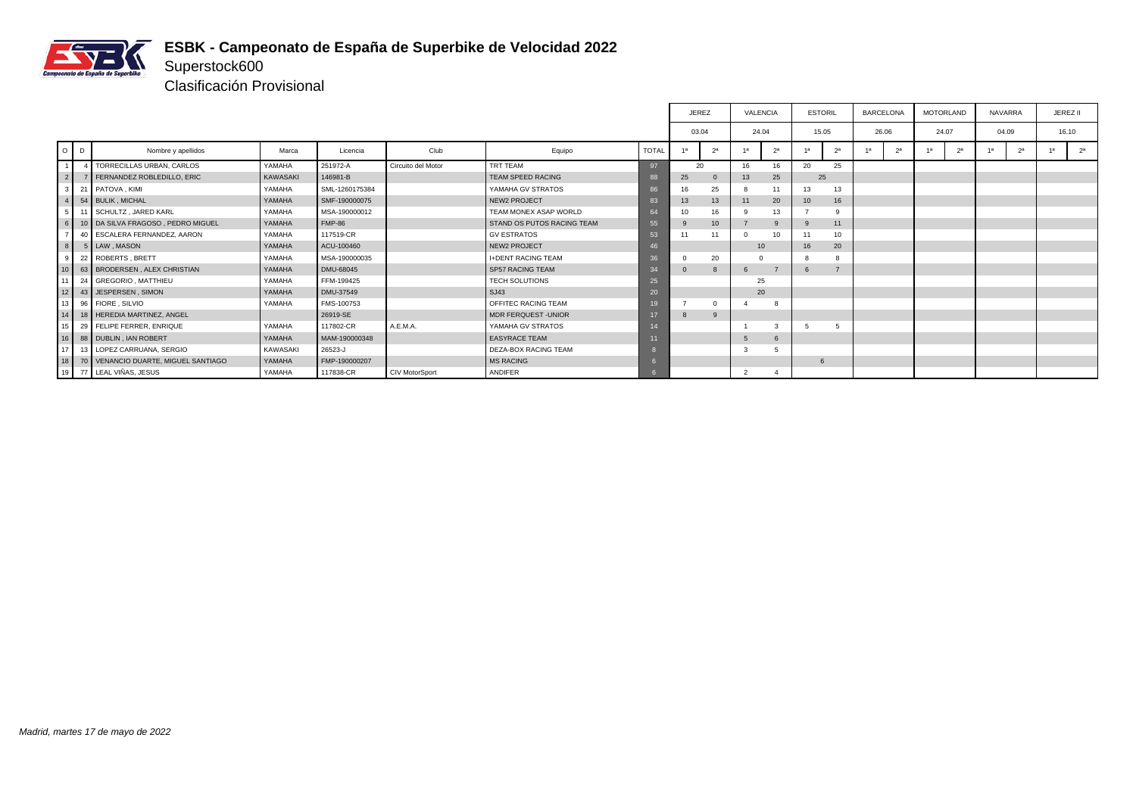

# Superstock600 Clasificación Provisional

|                 |              |                                     |          |                |                       |                             |                 |             | <b>JEREZ</b>     |                | VALENCIA       | <b>ESTORIL</b>   |                | <b>BARCELONA</b> |                | <b>MOTORLAND</b> |                | <b>NAVARRA</b> |                | JEREZ II |       |
|-----------------|--------------|-------------------------------------|----------|----------------|-----------------------|-----------------------------|-----------------|-------------|------------------|----------------|----------------|------------------|----------------|------------------|----------------|------------------|----------------|----------------|----------------|----------|-------|
|                 |              |                                     |          |                |                       |                             |                 | 03.04       |                  |                | 24.04          | 15.05            |                | 26.06            |                | 24.07            |                | 04.09          |                | 16.10    |       |
| $O$ $D$         |              | Nombre y apellidos                  | Marca    | Licencia       | Club                  | Equipo                      | <b>TOTAL</b>    | 1a          | 2 <sup>a</sup>   | 1a             | 2 <sup>a</sup> | 1a               | 2 <sup>a</sup> | 1a               | 2 <sup>a</sup> | 1a               | 2 <sup>a</sup> | 1a             | 2 <sup>a</sup> | 1a       | $2^a$ |
| $\overline{1}$  | $\mathbf{A}$ | TORRECILLAS URBAN, CARLOS           | YAMAHA   | 251972-A       | Circuito del Motor    | TRT TEAM                    | 97              | 20          |                  | 16             | 16             | 20               | 25             |                  |                |                  |                |                |                |          |       |
| $\overline{2}$  |              | 7 FERNANDEZ ROBLEDILLO, ERIC        | KAWASAKI | 146981-B       |                       | TEAM SPEED RACING           | 88              | 25          |                  | 13             | 25             | 25               |                |                  |                |                  |                |                |                |          |       |
|                 |              | 21 PATOVA, KIMI                     | YAMAHA   | SML-1260175384 |                       | YAMAHA GV STRATOS           | 86              | 16          | 25               |                |                | 13               | 13             |                  |                |                  |                |                |                |          |       |
| $\overline{4}$  |              | 54 BULIK, MICHAL                    | YAMAHA   | SMF-190000075  |                       | <b>NEW2 PROJECT</b>         | 83              | 13          | 13               | 11             | 20             | 10 <sup>10</sup> | 16             |                  |                |                  |                |                |                |          |       |
| 5               |              | 11 SCHULTZ, JARED KARL              | YAMAHA   | MSA-190000012  |                       | TEAM MONEX ASAP WORLD       | 64              | 10          | 16               |                | 13             |                  | 9              |                  |                |                  |                |                |                |          |       |
| 6 I             |              | 10   DA SILVA FRAGOSO, PEDRO MIGUEL | YAMAHA   | <b>FMP-86</b>  |                       | STAND OS PUTOS RACING TEAM  | 55              | 9           | 10 <sup>10</sup> |                | g              |                  | 11             |                  |                |                  |                |                |                |          |       |
| $\overline{ }$  |              | 40 ESCALERA FERNANDEZ, AARON        | YAMAHA   | 117519-CR      |                       | <b>GV ESTRATOS</b>          | 53              |             | 11               | $\Omega$       | 10             | 11               | 10             |                  |                |                  |                |                |                |          |       |
| 8               |              | 5 LAW, MASON                        | YAMAHA   | ACU-100460     |                       | <b>NEW2 PROJECT</b>         | 46              |             |                  |                | 10             | 16               | 20             |                  |                |                  |                |                |                |          |       |
|                 |              | 22 ROBERTS, BRETT                   | YAMAHA   | MSA-190000035  |                       | <b>I+DENT RACING TEAM</b>   |                 |             | 20               |                |                |                  |                |                  |                |                  |                |                |                |          |       |
| 10 <sup>1</sup> |              | 63 BRODERSEN, ALEX CHRISTIAN        | YAMAHA   | DMU-68045      |                       | <b>SP57 RACING TEAM</b>     | 34              | $\mathbf 0$ |                  | 6              |                | b                |                |                  |                |                  |                |                |                |          |       |
| 11              |              | 24 GREGORIO, MATTHIEU               | YAMAHA   | FFM-199425     |                       | <b>TECH SOLUTIONS</b>       | 25              |             |                  |                | 25             |                  |                |                  |                |                  |                |                |                |          |       |
| 12              |              | 43 JESPERSEN, SIMON                 | YAMAHA   | DMU-37549      |                       | SJ43                        | 20              |             |                  |                | 20             |                  |                |                  |                |                  |                |                |                |          |       |
| 13              |              | 96 FIORE, SILVIO                    | YAMAHA   | FMS-100753     |                       | OFFITEC RACING TEAM         | 19 <sub>1</sub> |             |                  |                | 8              |                  |                |                  |                |                  |                |                |                |          |       |
| $\boxed{14}$    |              | 18 HEREDIA MARTINEZ, ANGEL          |          | 26919-SE       |                       | <b>MDR FERQUEST - UNIOR</b> |                 | 8           | 9                |                |                |                  |                |                  |                |                  |                |                |                |          |       |
| 15              |              | 29 FELIPE FERRER, ENRIQUE           | YAMAHA   | 117802-CR      | A.E.M.A.              | YAMAHA GV STRATOS           | 14              |             |                  |                | 3              |                  | -5             |                  |                |                  |                |                |                |          |       |
| 16              |              | 88 DUBLIN, IAN ROBERT               | YAMAHA   | MAM-190000348  |                       | <b>EASYRACE TEAM</b>        | 11              |             |                  | -5             |                |                  |                |                  |                |                  |                |                |                |          |       |
| 117'            |              | 13 LOPEZ CARRUANA, SERGIO           | KAWASAKI | 26523-J        |                       | DEZA-BOX RACING TEAM        |                 |             |                  | -3             | 5              |                  |                |                  |                |                  |                |                |                |          |       |
| 18              |              | 70 VENANCIO DUARTE, MIGUEL SANTIAGO | YAMAHA   | FMP-190000207  |                       | <b>MS RACING</b>            |                 |             |                  |                |                | 6                |                |                  |                |                  |                |                |                |          |       |
|                 |              | 19 77 LEAL VIÑAS, JESUS             | YAMAHA   | 117838-CR      | <b>CIV MotorSport</b> | ANDIFER                     |                 |             |                  | $\overline{2}$ |                |                  |                |                  |                |                  |                |                |                |          |       |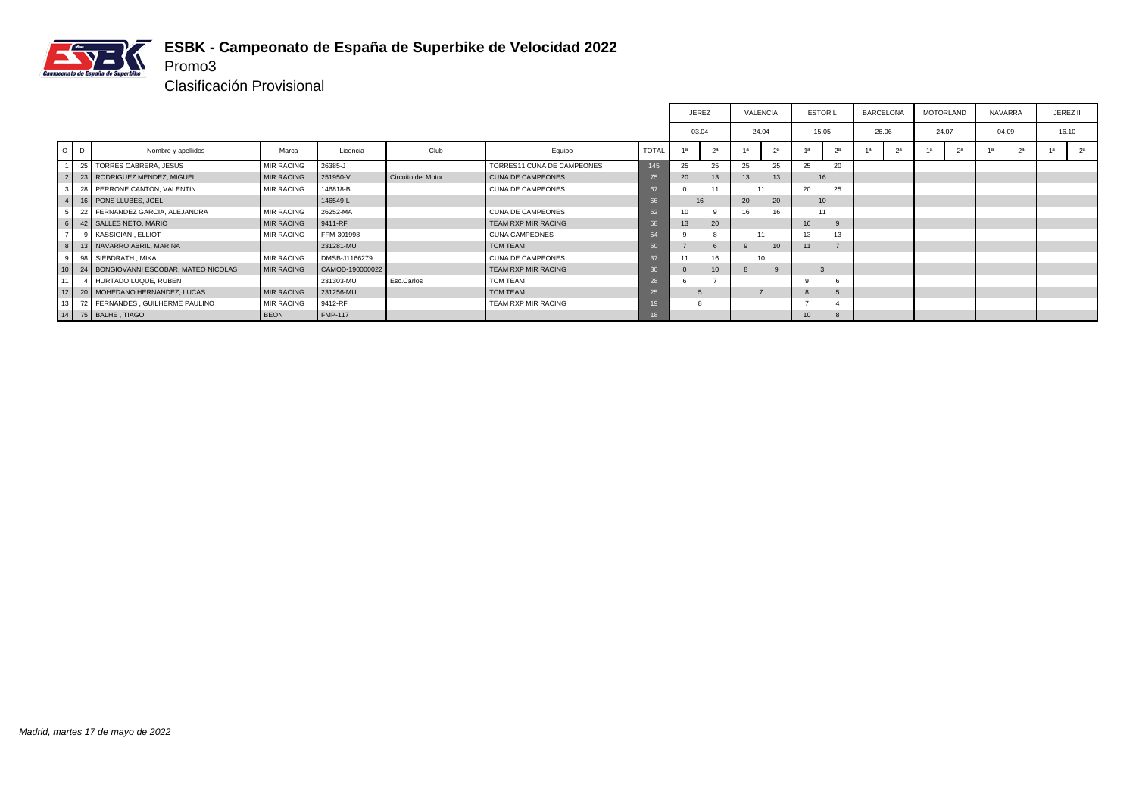

Clasificación Provisional

Promo3

|                 |                                       |                   |                 |                    |                            |              |       | <b>JEREZ</b>     | VALENCIA        |                |    | <b>ESTORIL</b>   | <b>BARCELONA</b> |                | <b>MOTORLAND</b> |                | <b>NAVARRA</b> |                | JEREZ II       |
|-----------------|---------------------------------------|-------------------|-----------------|--------------------|----------------------------|--------------|-------|------------------|-----------------|----------------|----|------------------|------------------|----------------|------------------|----------------|----------------|----------------|----------------|
|                 |                                       |                   |                 |                    |                            |              | 03.04 |                  | 24.04           |                |    | 15.05            | 26.06            |                | 24.07            |                | 04.09          |                | 16.10          |
| $\circ$         | Nombre y apellidos                    | Marca             | Licencia        | Club               | Equipo                     | <b>TOTAL</b> |       | 2 <sup>a</sup>   |                 | 2 <sup>a</sup> | 1a | 2 <sup>a</sup>   | 1a               | 2 <sup>a</sup> | 4a               | 2 <sup>a</sup> | 4a             | 2 <sup>a</sup> | 2 <sup>a</sup> |
|                 | 25 TORRES CABRERA, JESUS              | <b>MIR RACING</b> | 26385-J         |                    | TORRES11 CUNA DE CAMPEONES | 145          | 25    | 25               | 25              | 25             | 25 | 20               |                  |                |                  |                |                |                |                |
|                 | 23   RODRIGUEZ MENDEZ, MIGUEL         | <b>MIR RACING</b> | 251950-V        | Circuito del Motor | <b>CUNA DE CAMPEONES</b>   |              | 20    | 13               | 13              | 13             |    | 16               |                  |                |                  |                |                |                |                |
|                 | 28 PERRONE CANTON, VALENTIN           | <b>MIR RACING</b> | 146818-B        |                    | <b>CUNA DE CAMPEONES</b>   | 67           |       | 11               |                 |                | 20 | 25               |                  |                |                  |                |                |                |                |
|                 | 16   PONS LLUBES, JOEL                |                   | 146549-L        |                    |                            | 66           | 16    |                  | 20              | 20             |    | 10 <sup>10</sup> |                  |                |                  |                |                |                |                |
|                 | 22 FERNANDEZ GARCIA, ALEJANDRA        | <b>MIR RACING</b> | 26252-MA        |                    | CUNA DE CAMPEONES          | 62           | 10    |                  |                 | 16             |    | 11               |                  |                |                  |                |                |                |                |
|                 | 42 SALLES NETO, MARIO                 | <b>MIR RACING</b> | 9411-RF         |                    | <b>TEAM RXP MIR RACING</b> | 58           | 13    | 20               |                 |                | 16 |                  |                  |                |                  |                |                |                |                |
|                 | 9 KASSIGIAN, ELLIOT                   | <b>MIR RACING</b> | FFM-301998      |                    | <b>CUNA CAMPEONES</b>      |              |       |                  | 11              |                | 13 | 13               |                  |                |                  |                |                |                |                |
| 8               | 13 NAVARRO ABRIL, MARINA              |                   | 231281-MU       |                    | <b>TCM TEAM</b>            | 50           |       | 6                |                 | 10             | 11 |                  |                  |                |                  |                |                |                |                |
| 9               | 98 SIEBDRATH, MIKA                    | <b>MIR RACING</b> | DMSB-J1166279   |                    | <b>CUNA DE CAMPEONES</b>   |              |       | 16               | 10 <sup>1</sup> |                |    |                  |                  |                |                  |                |                |                |                |
|                 | 24 BONGIOVANNI ESCOBAR, MATEO NICOLAS | <b>MIR RACING</b> | CAMOD-190000022 |                    | <b>TEAM RXP MIR RACING</b> |              |       | 10 <sup>10</sup> |                 |                |    |                  |                  |                |                  |                |                |                |                |
|                 | 4 HURTADO LUQUE, RUBEN                |                   | 231303-MU       | Esc.Carlos         | <b>TCM TEAM</b>            | 28           |       |                  |                 |                | ۰q |                  |                  |                |                  |                |                |                |                |
| 12 <sup>1</sup> | 20 MOHEDANO HERNANDEZ, LUCAS          | <b>MIR RACING</b> | 231256-MU       |                    | <b>TCM TEAM</b>            | 25           |       |                  |                 |                |    | $\overline{5}$   |                  |                |                  |                |                |                |                |
| 13 <sup>1</sup> | 72 FERNANDES, GUILHERME PAULINO       | <b>MIR RACING</b> | 9412-RF         |                    | TEAM RXP MIR RACING        |              |       |                  |                 |                |    |                  |                  |                |                  |                |                |                |                |
|                 | 14 75 BALHE, TIAGO                    | <b>BEON</b>       | <b>FMP-117</b>  |                    |                            | 18           |       |                  |                 |                |    |                  |                  |                |                  |                |                |                |                |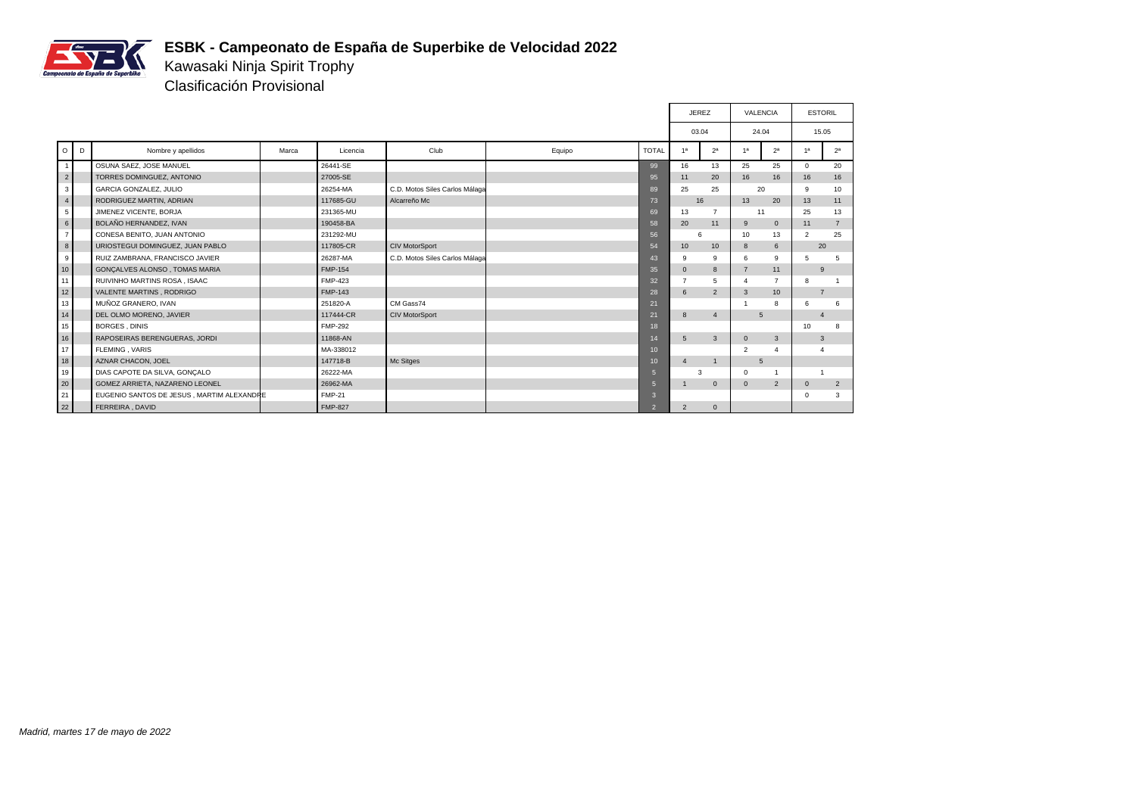

Kawasaki Ninja Spirit Trophy Clasificación Provisional

|    |                |                                           |       |                |                                |        |                  | <b>JEREZ</b>   |                | <b>VALENCIA</b> |                  |              | <b>ESTORIL</b> |
|----|----------------|-------------------------------------------|-------|----------------|--------------------------------|--------|------------------|----------------|----------------|-----------------|------------------|--------------|----------------|
|    |                |                                           |       |                |                                |        |                  | 03.04          |                | 24.04           |                  |              | 15.05          |
|    | $\circ$<br>D   | Nombre y apellidos                        | Marca | Licencia       | Club                           | Equipo | <b>TOTAL</b>     | 1a             | 2 <sup>a</sup> | 1 <sup>a</sup>  | 2 <sup>a</sup>   | 1a           | 2 <sup>a</sup> |
|    | 1              | OSUNA SAEZ, JOSE MANUEL                   |       | 26441-SE       |                                |        | 99               | 16             | 13             | 25              | 25               | $\Omega$     | 20             |
|    | 2 <sup>1</sup> | TORRES DOMINGUEZ, ANTONIO                 |       | 27005-SE       |                                |        | 95               | 11             | 20             | 16              | 16               | 16           | 16             |
|    | 3 <sup>1</sup> | <b>GARCIA GONZALEZ, JULIO</b>             |       | 26254-MA       | C.D. Motos Siles Carlos Málaga |        | 89               | 25             | 25             |                 | 20               | 9            | 10             |
|    | $\overline{4}$ | RODRIGUEZ MARTIN, ADRIAN                  |       | 117685-GU      | Alcarreño Mc                   |        | 73               | 16             |                | 13              | 20               | 13           | 11             |
|    | 5 <sub>1</sub> | JIMENEZ VICENTE, BORJA                    |       | 231365-MU      |                                |        | 69               | 13             | $\overline{7}$ | 11              |                  | 25           | 13             |
|    | 6 <sup>1</sup> | BOLAÑO HERNANDEZ, IVAN                    |       | 190458-BA      |                                |        | 58               | 20             | 11             | 9               | $\mathbf{0}$     | 11           | $\overline{7}$ |
|    | 7 <sup>1</sup> | CONESA BENITO, JUAN ANTONIO               |       | 231292-MU      |                                |        | 56               | 6              |                | 10              | 13               | 2            | 25             |
|    | 8              | URIOSTEGUI DOMINGUEZ, JUAN PABLO          |       | 117805-CR      | CIV MotorSport                 |        | 54               | 10             | 10             | 8               | 6                |              | 20             |
|    | 9 <sup>1</sup> | RUIZ ZAMBRANA, FRANCISCO JAVIER           |       | 26287-MA       | C.D. Motos Siles Carlos Málaga |        | 43               | 9              | 9              | 6               | 9                | 5            | 5              |
|    | 10             | GONCALVES ALONSO, TOMAS MARIA             |       | <b>FMP-154</b> |                                |        | 35               | $\mathbf{0}$   | 8              | $\overline{7}$  | 11               |              | 9              |
|    | 11             | RUIVINHO MARTINS ROSA, ISAAC              |       | <b>FMP-423</b> |                                |        | 32               | $\overline{7}$ | 5              | $\overline{4}$  | $\overline{7}$   | 8            | $\overline{1}$ |
|    | 12             | <b>VALENTE MARTINS, RODRIGO</b>           |       | <b>FMP-143</b> |                                |        | 28               | 6              | $\overline{2}$ | 3               | 10 <sup>10</sup> |              | $\overline{7}$ |
|    | 13             | MUÑOZ GRANERO, IVAN                       |       | 251820-A       | CM Gass74                      |        | 21               |                |                |                 | 8                | 6            | 6              |
|    | 14             | DEL OLMO MORENO, JAVIER                   |       | 117444-CR      | <b>CIV MotorSport</b>          |        | 21               | 8              | $\overline{4}$ |                 | 5                |              | $\overline{4}$ |
|    | 15             | <b>BORGES, DINIS</b>                      |       | <b>FMP-292</b> |                                |        | 18               |                |                |                 |                  | 10           | 8              |
|    | 16             | RAPOSEIRAS BERENGUERAS, JORDI             |       | 11868-AN       |                                |        | 14               | 5              | $\overline{3}$ | $\mathbf{0}$    | 3                |              | 3              |
|    | 17             | <b>FLEMING, VARIS</b>                     |       | MA-338012      |                                |        | 10 <sup>10</sup> |                |                | 2               | 4                |              |                |
|    | 18             | AZNAR CHACON, JOEL                        |       | 147718-B       | Mc Sitges                      |        | 10               | $\overline{4}$ | $\overline{1}$ | 5               |                  |              |                |
|    | 19             | DIAS CAPOTE DA SILVA, GONÇALO             |       | 26222-MA       |                                |        | $5\overline{5}$  | 3              |                | $\Omega$        |                  |              |                |
|    | 20             | GOMEZ ARRIETA, NAZARENO LEONEL            |       | 26962-MA       |                                |        | $\overline{5}$   |                | $\mathbf{0}$   | $\mathbf{0}$    | $\overline{2}$   | $\mathbf{0}$ | 2              |
| 21 |                | EUGENIO SANTOS DE JESUS, MARTIM ALEXANDRE |       | <b>FMP-21</b>  |                                |        | $\mathbf{3}$     |                |                |                 |                  | $\mathbf 0$  | 3              |
| 22 |                | FERREIRA, DAVID                           |       | <b>FMP-827</b> |                                |        | $\overline{2}$   | $\overline{2}$ | $\mathbf{0}$   |                 |                  |              |                |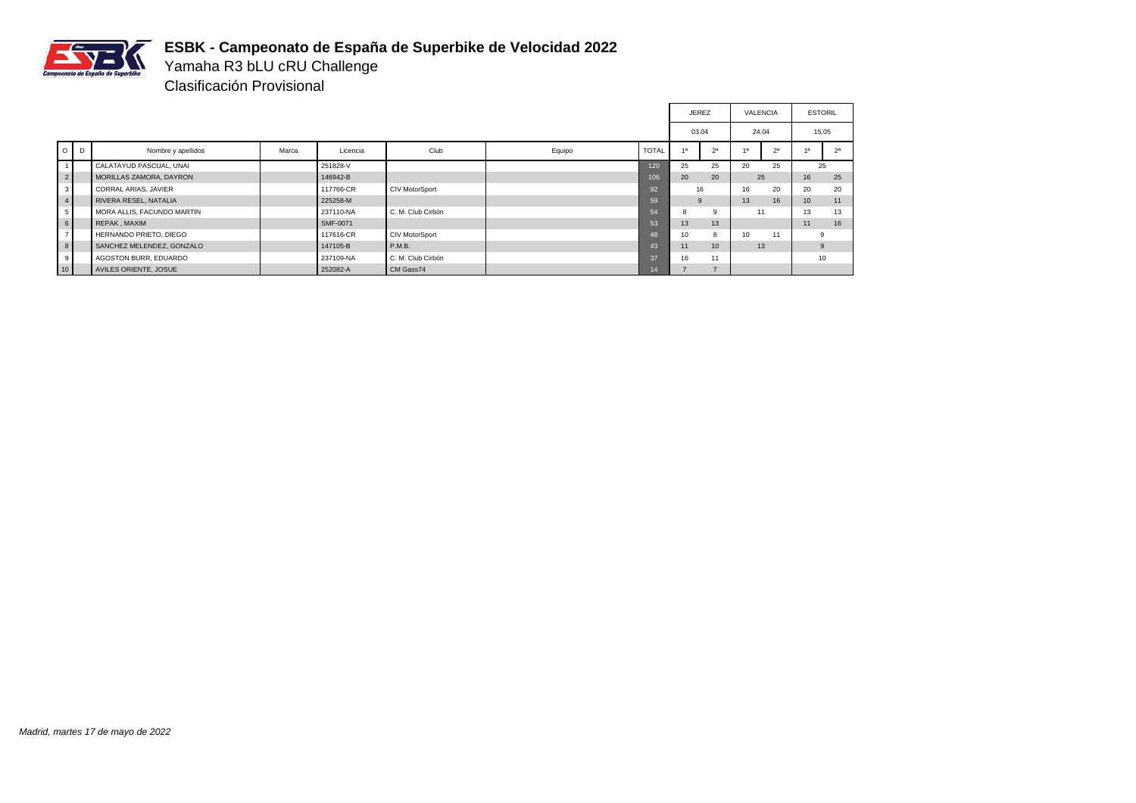

Yamaha R3 bLU cRU Challenge Clasificación Provisional

|                |                             |       |           |                   |        |              | <b>JEREZ</b> |                  | VALENCIA |                |                  | <b>ESTORIL</b> |
|----------------|-----------------------------|-------|-----------|-------------------|--------|--------------|--------------|------------------|----------|----------------|------------------|----------------|
|                |                             |       |           |                   |        |              | 03.04        |                  |          | 24.04          |                  | 15.05          |
| $O$ $D$        | Nombre y apellidos          | Marca | Licencia  | Club              | Equipo | <b>TOTAL</b> | 1a           | 2 <sup>a</sup>   | 4a       | 2 <sup>a</sup> |                  | 2 <sup>a</sup> |
|                | CALATAYUD PASCUAL, UNAI     |       | 251828-V  |                   |        | 120          | 25           | 25               | 20       | 25             |                  | 25             |
| $\overline{2}$ | MORILLAS ZAMORA, DAYRON     |       | 146942-B  |                   |        | 106          | 20           | 20               | 25       |                | 16               | 25             |
| 3 <sup>1</sup> | <b>CORRAL ARIAS, JAVIER</b> |       | 117766-CR | CIV MotorSport    |        | 92           |              | 16               | 16       | 20             | 20               | 20             |
| $\overline{4}$ | RIVERA RESEL, NATALIA       |       | 225258-M  |                   |        | 59           | 9            |                  | 13       | 16             | 10 <sup>10</sup> | 11             |
| 5              | MORA ALLIS, FACUNDO MARTIN  |       | 237110-NA | C. M. Club Cirbón |        | 54           | 8            | 9                | 11       |                | 13               | 13             |
| 6              | REPAK, MAXIM                |       | SMF-0071  |                   |        | 53           | 13           | 13               |          |                | 11               | 16             |
| $\rightarrow$  | HERNANDO PRIETO, DIEGO      |       | 117616-CR | CIV MotorSport    |        | 48           | 10           | 8                | 10       | 11             | 9                |                |
| 8 <sup>1</sup> | SANCHEZ MELENDEZ, GONZALO   |       | 147105-B  | P.M.B.            |        | 43           | 11           | 10 <sup>10</sup> |          | 13             |                  | 9              |
| 9              | AGOSTON BURR, EDUARDO       |       | 237109-NA | C. M. Club Cirbón |        | 37           | 16           | 11               |          |                |                  | 10             |
| 10             | AVILES ORIENTE, JOSUE       |       | 252082-A  | CM Gass74         |        | 14           |              | $\rightarrow$    |          |                |                  |                |